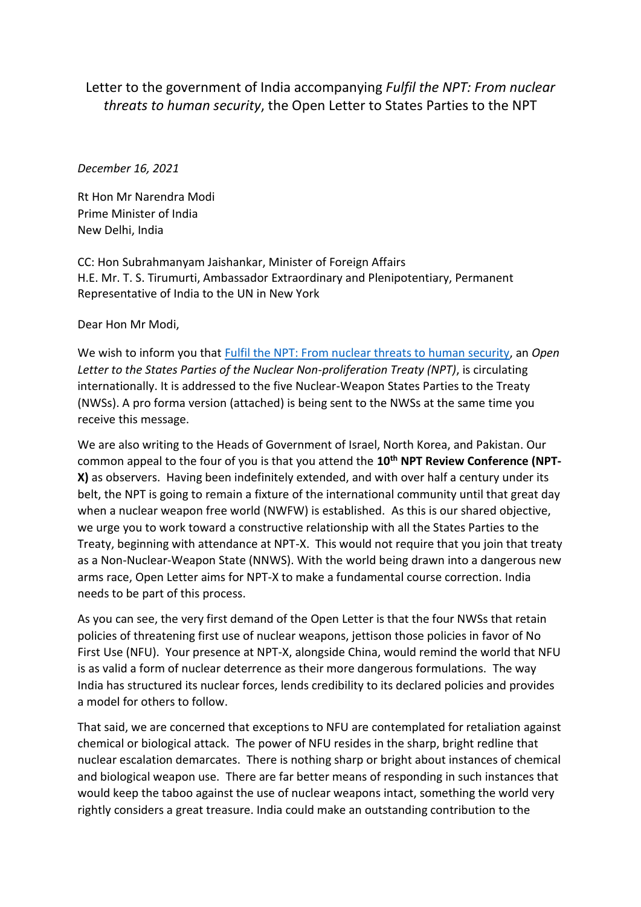## Letter to the government of India accompanying *Fulfil the NPT: From nuclear threats to human security*, the Open Letter to States Parties to the NPT

## *December 16, 2021*

Rt Hon Mr Narendra Modi Prime Minister of India New Delhi, India

CC: Hon Subrahmanyam Jaishankar, Minister of Foreign Affairs H.E. Mr. T. S. Tirumurti, Ambassador Extraordinary and Plenipotentiary, Permanent Representative of India to the UN in New York

Dear Hon Mr Modi,

We wish to inform you that [Fulfil the NPT: From nuclear threats to human security,](https://nofirstuse.global/fulfil-the-npt-from-nuclear-threats-to-human-security/) an *Open Letter to the States Parties of the Nuclear Non-proliferation Treaty (NPT)*, is circulating internationally. It is addressed to the five Nuclear-Weapon States Parties to the Treaty (NWSs). A pro forma version (attached) is being sent to the NWSs at the same time you receive this message.

We are also writing to the Heads of Government of Israel, North Korea, and Pakistan. Our common appeal to the four of you is that you attend the **10th NPT Review Conference (NPT-X)** as observers. Having been indefinitely extended, and with over half a century under its belt, the NPT is going to remain a fixture of the international community until that great day when a nuclear weapon free world (NWFW) is established. As this is our shared objective, we urge you to work toward a constructive relationship with all the States Parties to the Treaty, beginning with attendance at NPT-X. This would not require that you join that treaty as a Non-Nuclear-Weapon State (NNWS). With the world being drawn into a dangerous new arms race, Open Letter aims for NPT-X to make a fundamental course correction. India needs to be part of this process.

As you can see, the very first demand of the Open Letter is that the four NWSs that retain policies of threatening first use of nuclear weapons, jettison those policies in favor of No First Use (NFU). Your presence at NPT-X, alongside China, would remind the world that NFU is as valid a form of nuclear deterrence as their more dangerous formulations. The way India has structured its nuclear forces, lends credibility to its declared policies and provides a model for others to follow.

That said, we are concerned that exceptions to NFU are contemplated for retaliation against chemical or biological attack. The power of NFU resides in the sharp, bright redline that nuclear escalation demarcates. There is nothing sharp or bright about instances of chemical and biological weapon use. There are far better means of responding in such instances that would keep the taboo against the use of nuclear weapons intact, something the world very rightly considers a great treasure. India could make an outstanding contribution to the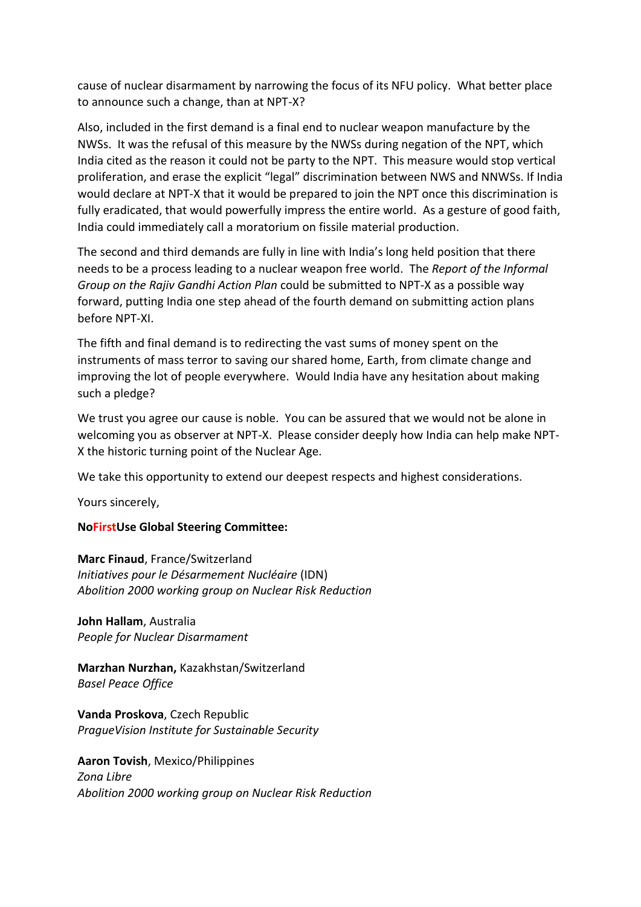cause of nuclear disarmament by narrowing the focus of its NFU policy. What better place to announce such a change, than at NPT-X?

Also, included in the first demand is a final end to nuclear weapon manufacture by the NWSs. It was the refusal of this measure by the NWSs during negation of the NPT, which India cited as the reason it could not be party to the NPT. This measure would stop vertical proliferation, and erase the explicit "legal" discrimination between NWS and NNWSs. If India would declare at NPT-X that it would be prepared to join the NPT once this discrimination is fully eradicated, that would powerfully impress the entire world. As a gesture of good faith, India could immediately call a moratorium on fissile material production.

The second and third demands are fully in line with India's long held position that there needs to be a process leading to a nuclear weapon free world. The *Report of the Informal Group on the Rajiv Gandhi Action Plan* could be submitted to NPT-X as a possible way forward, putting India one step ahead of the fourth demand on submitting action plans before NPT-XI.

The fifth and final demand is to redirecting the vast sums of money spent on the instruments of mass terror to saving our shared home, Earth, from climate change and improving the lot of people everywhere. Would India have any hesitation about making such a pledge?

We trust you agree our cause is noble. You can be assured that we would not be alone in welcoming you as observer at NPT-X. Please consider deeply how India can help make NPT-X the historic turning point of the Nuclear Age.

We take this opportunity to extend our deepest respects and highest considerations.

Yours sincerely,

## **NoFirstUse Global Steering Committee:**

**Marc Finaud**, France/Switzerland *Initiatives pour le Désarmement Nucléaire* (IDN) *Abolition 2000 working group on Nuclear Risk Reduction*

**John Hallam**, Australia *People for Nuclear Disarmament*

**Marzhan Nurzhan,** Kazakhstan/Switzerland *Basel Peace Office*

**Vanda Proskova**, Czech Republic *PragueVision Institute for Sustainable Security*

**Aaron Tovish**, Mexico/Philippines *Zona Libre Abolition 2000 working group on Nuclear Risk Reduction*